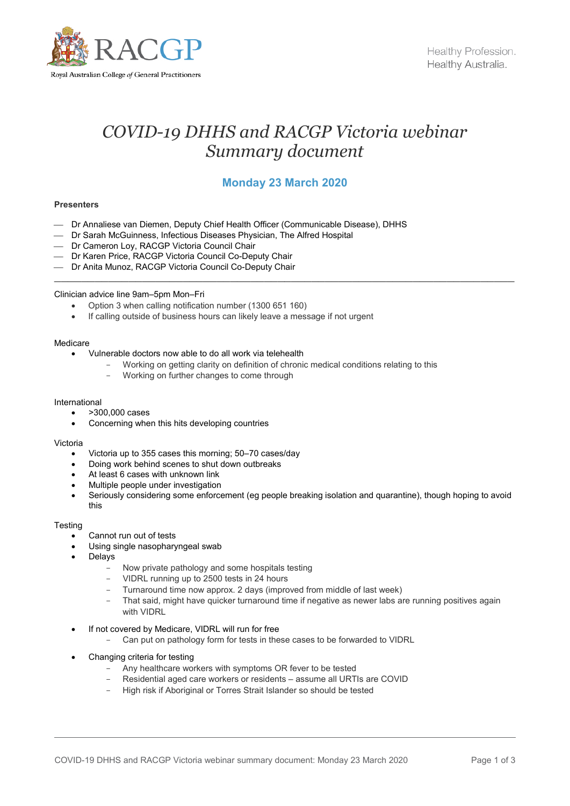

# *COVID-19 DHHS and RACGP Victoria webinar Summary document*

## **Monday 23 March 2020**

 $\_$ 

## **Presenters**

- Dr Annaliese van Diemen, Deputy Chief Health Officer (Communicable Disease), DHHS
- Dr Sarah McGuinness, Infectious Diseases Physician, The Alfred Hospital
- Dr Cameron Loy, RACGP Victoria Council Chair
- Dr Karen Price, RACGP Victoria Council Co-Deputy Chair
- Dr Anita Munoz, RACGP Victoria Council Co-Deputy Chair

## Clinician advice line 9am–5pm Mon–Fri

- Option 3 when calling notification number (1300 651 160)
- If calling outside of business hours can likely leave a message if not urgent

## Medicare

- Vulnerable doctors now able to do all work via telehealth
	- Working on getting clarity on definition of chronic medical conditions relating to this
		- Working on further changes to come through

#### International

- >300,000 cases
- Concerning when this hits developing countries

#### Victoria

- Victoria up to 355 cases this morning; 50–70 cases/day
- Doing work behind scenes to shut down outbreaks
- At least 6 cases with unknown link
- Multiple people under investigation
- Seriously considering some enforcement (eg people breaking isolation and quarantine), though hoping to avoid this

#### **Testing**

- Cannot run out of tests
- Using single nasopharyngeal swab
- **Delays** 
	- Now private pathology and some hospitals testing
	- VIDRL running up to 2500 tests in 24 hours
	- Turnaround time now approx. 2 days (improved from middle of last week)
	- That said, might have quicker turnaround time if negative as newer labs are running positives again with VIDRL
- If not covered by Medicare, VIDRL will run for free
	- Can put on pathology form for tests in these cases to be forwarded to VIDRL
- Changing criteria for testing
	- Any healthcare workers with symptoms OR fever to be tested
	- Residential aged care workers or residents assume all URTIs are COVID
	- High risk if Aboriginal or Torres Strait Islander so should be tested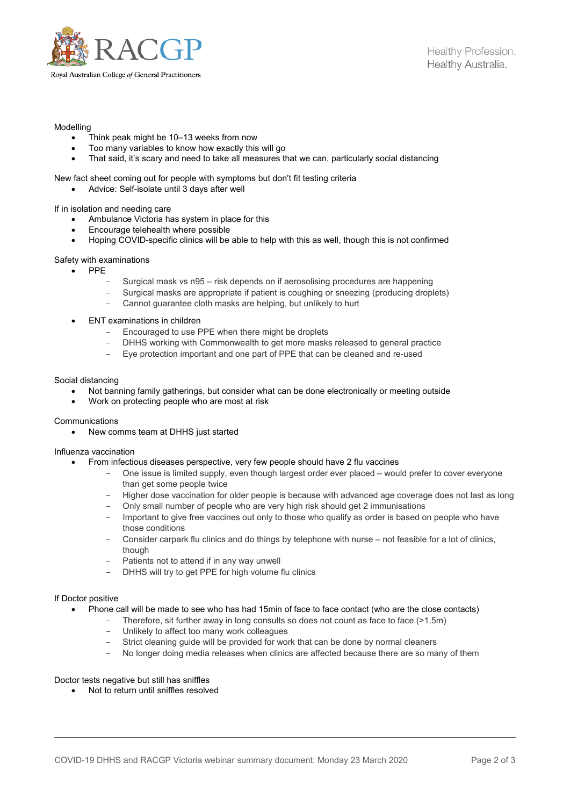

## Modelling

- Think peak might be 10–13 weeks from now
- Too many variables to know how exactly this will go
- That said, it's scary and need to take all measures that we can, particularly social distancing

## New fact sheet coming out for people with symptoms but don't fit testing criteria

• Advice: Self-isolate until 3 days after well

If in isolation and needing care

- Ambulance Victoria has system in place for this
- Encourage telehealth where possible
- Hoping COVID-specific clinics will be able to help with this as well, though this is not confirmed

## Safety with examinations

- PPE
	- Surgical mask vs n95 risk depends on if aerosolising procedures are happening
	- Surgical masks are appropriate if patient is coughing or sneezing (producing droplets)
	- Cannot guarantee cloth masks are helping, but unlikely to hurt
- ENT examinations in children
	- Encouraged to use PPE when there might be droplets
	- DHHS working with Commonwealth to get more masks released to general practice
	- Eye protection important and one part of PPE that can be cleaned and re-used

## Social distancing

- Not banning family gatherings, but consider what can be done electronically or meeting outside
- Work on protecting people who are most at risk

## **Communications**

• New comms team at DHHS just started

## Influenza vaccination

- From infectious diseases perspective, very few people should have 2 flu vaccines
	- One issue is limited supply, even though largest order ever placed would prefer to cover everyone than get some people twice
	- Higher dose vaccination for older people is because with advanced age coverage does not last as long
	- Only small number of people who are very high risk should get 2 immunisations
	- Important to give free vaccines out only to those who qualify as order is based on people who have those conditions
	- Consider carpark flu clinics and do things by telephone with nurse not feasible for a lot of clinics, though
	- Patients not to attend if in any way unwell
	- DHHS will try to get PPE for high volume flu clinics

## If Doctor positive

- Phone call will be made to see who has had 15min of face to face contact (who are the close contacts)
	- Therefore, sit further away in long consults so does not count as face to face (>1.5m)
	- Unlikely to affect too many work colleagues
	- Strict cleaning guide will be provided for work that can be done by normal cleaners<br>- No longer doing media releases when clinics are affected because there are so ma
	- No longer doing media releases when clinics are affected because there are so many of them

## Doctor tests negative but still has sniffles

• Not to return until sniffles resolved